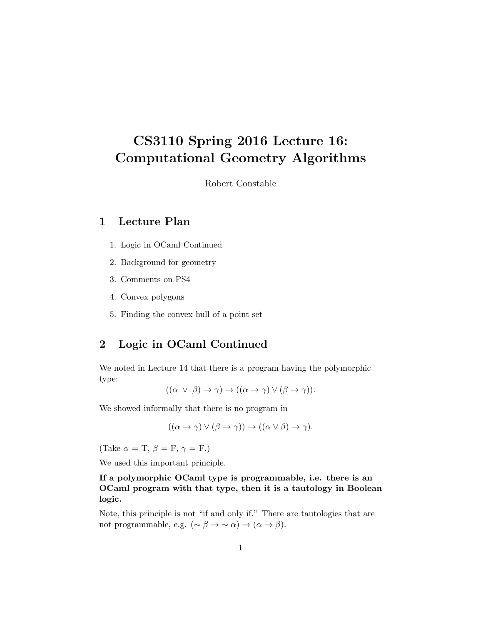# CS3110 Spring 2016 Lecture 16: Computational Geometry Algorithms

Robert Constable

# 1 Lecture Plan

- 1. Logic in OCaml Continued
- 2. Background for geometry
- 3. Comments on PS4
- 4. Convex polygons
- 5. Finding the convex hull of a point set

# 2 Logic in OCaml Continued

We noted in Lecture 14 that there is a program having the polymorphic type:

$$
((\alpha \vee \beta) \to \gamma) \to ((\alpha \to \gamma) \vee (\beta \to \gamma)).
$$

We showed informally that there is no program in

$$
((\alpha \to \gamma) \lor (\beta \to \gamma)) \to ((\alpha \lor \beta) \to \gamma).
$$

(Take  $\alpha = T$ ,  $\beta = F$ ,  $\gamma = F$ .)

We used this important principle.

If a polymorphic OCaml type is programmable, i.e. there is an OCaml program with that type, then it is a tautology in Boolean logic.

Note, this principle is not "if and only if." There are tautologies that are not programmable, e.g.  $(\sim \beta \to \sim \alpha) \to (\alpha \to \beta)$ .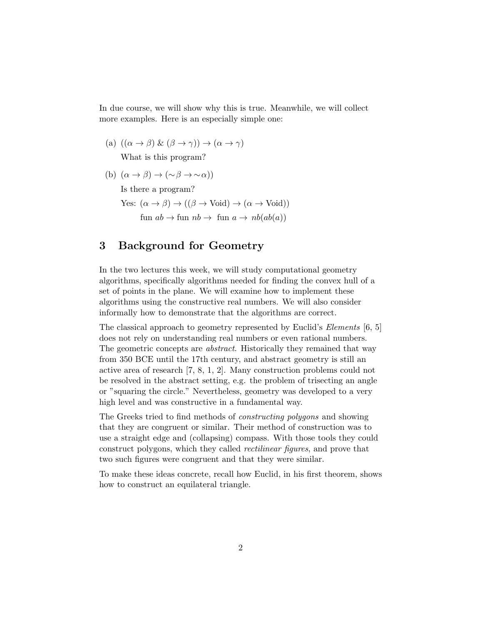In due course, we will show why this is true. Meanwhile, we will collect more examples. Here is an especially simple one:

- (a)  $((\alpha \rightarrow \beta) \& (\beta \rightarrow \gamma)) \rightarrow (\alpha \rightarrow \gamma)$ What is this program?
- (b)  $(\alpha \to \beta) \to (\sim \beta \to \sim \alpha)$ )

Is there a program?

Yes:  $(\alpha \to \beta) \to ((\beta \to \text{Void}) \to (\alpha \to \text{Void}))$ 

fun  $ab \rightarrow$  fun  $nb \rightarrow$  fun  $a \rightarrow nb(ab(a))$ 

### 3 Background for Geometry

In the two lectures this week, we will study computational geometry algorithms, specifically algorithms needed for finding the convex hull of a set of points in the plane. We will examine how to implement these algorithms using the constructive real numbers. We will also consider informally how to demonstrate that the algorithms are correct.

The classical approach to geometry represented by Euclid's *Elements* [6, 5] does not rely on understanding real numbers or even rational numbers. The geometric concepts are *abstract*. Historically they remained that way from 350 BCE until the 17th century, and abstract geometry is still an active area of research [7, 8, 1, 2]. Many construction problems could not be resolved in the abstract setting, e.g. the problem of trisecting an angle or "squaring the circle." Nevertheless, geometry was developed to a very high level and was constructive in a fundamental way.

The Greeks tried to find methods of constructing polygons and showing that they are congruent or similar. Their method of construction was to use a straight edge and (collapsing) compass. With those tools they could construct polygons, which they called rectilinear figures, and prove that two such figures were congruent and that they were similar.

To make these ideas concrete, recall how Euclid, in his first theorem, shows how to construct an equilateral triangle.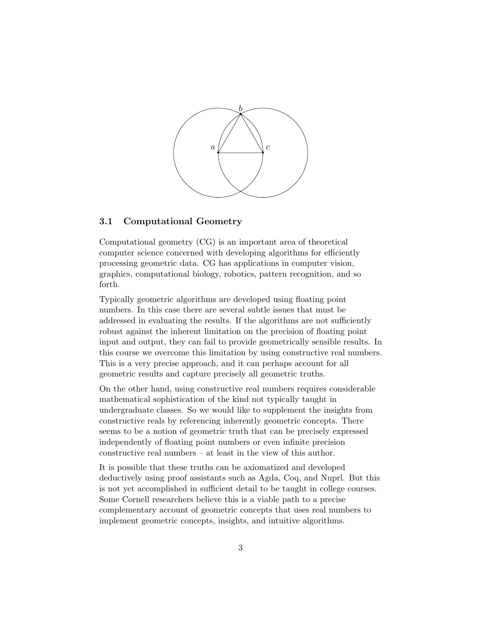

#### 3.1 Computational Geometry

Computational geometry (CG) is an important area of theoretical computer science concerned with developing algorithms for efficiently processing geometric data. CG has applications in computer vision, graphics, computational biology, robotics, pattern recognition, and so forth.

Typically geometric algorithms are developed using floating point numbers. In this case there are several subtle issues that must be addressed in evaluating the results. If the algorithms are not sufficiently robust against the inherent limitation on the precision of floating point input and output, they can fail to provide geometrically sensible results. In this course we overcome this limitation by using constructive real numbers. This is a very precise approach, and it can perhaps account for all geometric results and capture precisely all geometric truths.

On the other hand, using constructive real numbers requires considerable mathematical sophistication of the kind not typically taught in undergraduate classes. So we would like to supplement the insights from constructive reals by referencing inherently geometric concepts. There seems to be a notion of geometric truth that can be precisely expressed independently of floating point numbers or even infinite precision constructive real numbers – at least in the view of this author.

It is possible that these truths can be axiomatized and developed deductively using proof assistants such as Agda, Coq, and Nuprl. But this is not yet accomplished in sufficient detail to be taught in college courses. Some Cornell researchers believe this is a viable path to a precise complementary account of geometric concepts that uses real numbers to implement geometric concepts, insights, and intuitive algorithms.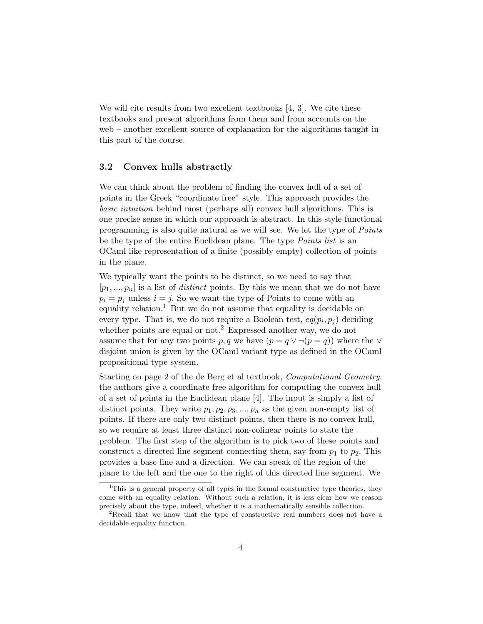We will cite results from two excellent textbooks [4, 3]. We cite these textbooks and present algorithms from them and from accounts on the web – another excellent source of explanation for the algorithms taught in this part of the course.

#### 3.2 Convex hulls abstractly

We can think about the problem of finding the convex hull of a set of points in the Greek "coordinate free" style. This approach provides the basic intuition behind most (perhaps all) convex hull algorithms. This is one precise sense in which our approach is abstract. In this style functional programming is also quite natural as we will see. We let the type of Points be the type of the entire Euclidean plane. The type *Points list* is an OCaml like representation of a finite (possibly empty) collection of points in the plane.

We typically want the points to be distinct, so we need to say that  $[p_1, ..., p_n]$  is a list of *distinct* points. By this we mean that we do not have  $p_i = p_j$  unless  $i = j$ . So we want the type of Points to come with an equality relation.<sup>1</sup> But we do not assume that equality is decidable on every type. That is, we do not require a Boolean test,  $eq(p_i, p_j)$  deciding whether points are equal or not.<sup>2</sup> Expressed another way, we do not assume that for any two points p, q we have  $(p = q \vee \neg (p = q))$  where the  $\vee$ disjoint union is given by the OCaml variant type as defined in the OCaml propositional type system.

Starting on page 2 of the de Berg et al textbook, Computational Geometry, the authors give a coordinate free algorithm for computing the convex hull of a set of points in the Euclidean plane [4]. The input is simply a list of distinct points. They write  $p_1, p_2, p_3, ..., p_n$  as the given non-empty list of points. If there are only two distinct points, then there is no convex hull, so we require at least three distinct non-colinear points to state the problem. The first step of the algorithm is to pick two of these points and construct a directed line segment connecting them, say from  $p_1$  to  $p_2$ . This provides a base line and a direction. We can speak of the region of the plane to the left and the one to the right of this directed line segment. We

<sup>&</sup>lt;sup>1</sup>This is a general property of all types in the formal constructive type theories, they come with an equality relation. Without such a relation, it is less clear how we reason precisely about the type, indeed, whether it is a mathematically sensible collection.

<sup>2</sup>Recall that we know that the type of constructive real numbers does not have a decidable equality function.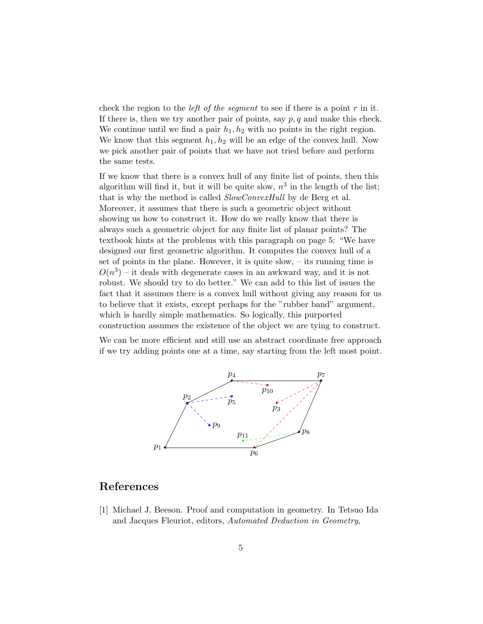check the region to the *left of the segment* to see if there is a point  $r$  in it. If there is, then we try another pair of points, say  $p, q$  and make this check. We continue until we find a pair  $h_1, h_2$  with no points in the right region. We know that this segment  $h_1, h_2$  will be an edge of the convex hull. Now we pick another pair of points that we have not tried before and perform the same tests.

If we know that there is a convex hull of any finite list of points, then this algorithm will find it, but it will be quite slow,  $n^3$  in the length of the list; that is why the method is called  $SlowConvexHull$  by de Berg et al. Moreover, it assumes that there is such a geometric object without showing us how to construct it. How do we really know that there is always such a geometric object for any finite list of planar points? The textbook hints at the problems with this paragraph on page 5: "We have designed our first geometric algorithm. It computes the convex hull of a set of points in the plane. However, it is quite slow, – its running time is  $O(n^3)$  – it deals with degenerate cases in an awkward way, and it is not robust. We should try to do better." We can add to this list of issues the fact that it assumes there is a convex hull without giving any reason for us to believe that it exists, except perhaps for the "rubber band" argument, which is hardly simple mathematics. So logically, this purported construction assumes the existence of the object we are tying to construct.

We can be more efficient and still use an abstract coordinate free approach if we try adding points one at a time, say starting from the left most point.



### References

[1] Michael J. Beeson. Proof and computation in geometry. In Tetsuo Ida and Jacques Fleuriot, editors, Automated Deduction in Geometry,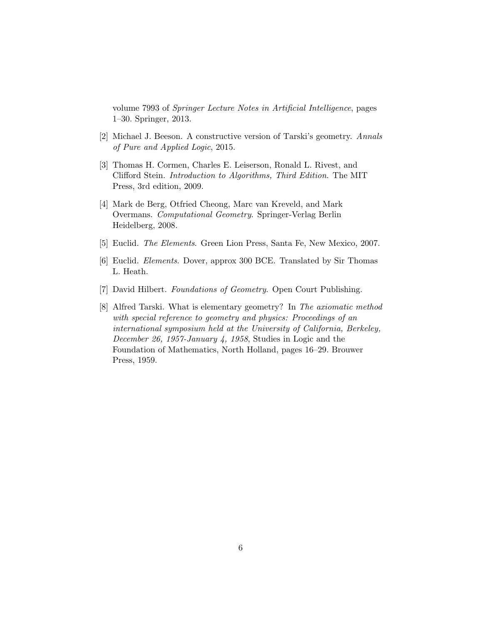volume 7993 of Springer Lecture Notes in Artificial Intelligence, pages 1–30. Springer, 2013.

- [2] Michael J. Beeson. A constructive version of Tarski's geometry. Annals of Pure and Applied Logic, 2015.
- [3] Thomas H. Cormen, Charles E. Leiserson, Ronald L. Rivest, and Clifford Stein. Introduction to Algorithms, Third Edition. The MIT Press, 3rd edition, 2009.
- [4] Mark de Berg, Otfried Cheong, Marc van Kreveld, and Mark Overmans. Computational Geometry. Springer-Verlag Berlin Heidelberg, 2008.
- [5] Euclid. The Elements. Green Lion Press, Santa Fe, New Mexico, 2007.
- [6] Euclid. Elements. Dover, approx 300 BCE. Translated by Sir Thomas L. Heath.
- [7] David Hilbert. Foundations of Geometry. Open Court Publishing.
- [8] Alfred Tarski. What is elementary geometry? In The axiomatic method with special reference to geometry and physics: Proceedings of an international symposium held at the University of California, Berkeley, December 26, 1957-January 4, 1958, Studies in Logic and the Foundation of Mathematics, North Holland, pages 16–29. Brouwer Press, 1959.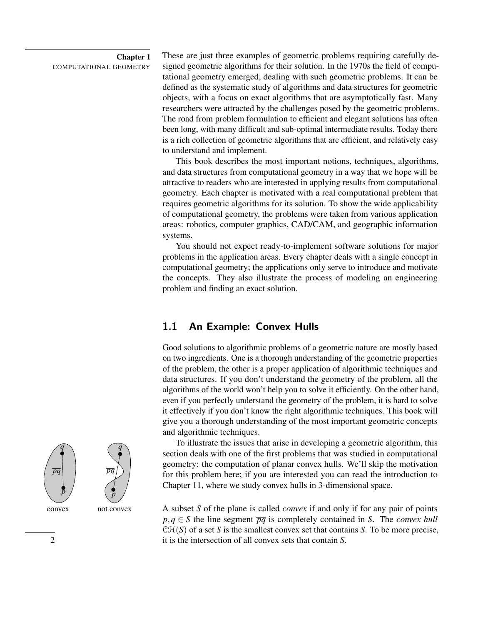#### Chapter 1 COMPUTATIONAL GEOMETRY

These are just three examples of geometric problems requiring carefully designed geometric algorithms for their solution. In the 1970s the field of computational geometry emerged, dealing with such geometric problems. It can be defined as the systematic study of algorithms and data structures for geometric objects, with a focus on exact algorithms that are asymptotically fast. Many researchers were attracted by the challenges posed by the geometric problems. The road from problem formulation to efficient and elegant solutions has often been long, with many difficult and sub-optimal intermediate results. Today there is a rich collection of geometric algorithms that are efficient, and relatively easy to understand and implement.

This book describes the most important notions, techniques, algorithms, and data structures from computational geometry in a way that we hope will be attractive to readers who are interested in applying results from computational geometry. Each chapter is motivated with a real computational problem that requires geometric algorithms for its solution. To show the wide applicability of computational geometry, the problems were taken from various application areas: robotics, computer graphics, CAD/CAM, and geographic information systems.

You should not expect ready-to-implement software solutions for major problems in the application areas. Every chapter deals with a single concept in computational geometry; the applications only serve to introduce and motivate the concepts. They also illustrate the process of modeling an engineering problem and finding an exact solution.

# 1.1 An Example: Convex Hulls

Good solutions to algorithmic problems of a geometric nature are mostly based on two ingredients. One is a thorough understanding of the geometric properties of the problem, the other is a proper application of algorithmic techniques and data structures. If you don't understand the geometry of the problem, all the algorithms of the world won't help you to solve it efficiently. On the other hand, even if you perfectly understand the geometry of the problem, it is hard to solve it effectively if you don't know the right algorithmic techniques. This book will give you a thorough understanding of the most important geometric concepts and algorithmic techniques.

To illustrate the issues that arise in developing a geometric algorithm, this section deals with one of the first problems that was studied in computational geometry: the computation of planar convex hulls. We'll skip the motivation for this problem here; if you are interested you can read the introduction to Chapter 11, where we study convex hulls in 3-dimensional space.

convex not convex A subset *S* of the plane is called *convex* if and only if for any pair of points  $p, q \in S$  the line segment  $\overline{pq}$  is completely contained in *S*. The *convex hull*  $\mathcal{CH}(S)$  of a set *S* is the smallest convex set that contains *S*. To be more precise, 2 it is the intersection of all convex sets that contain *S*.

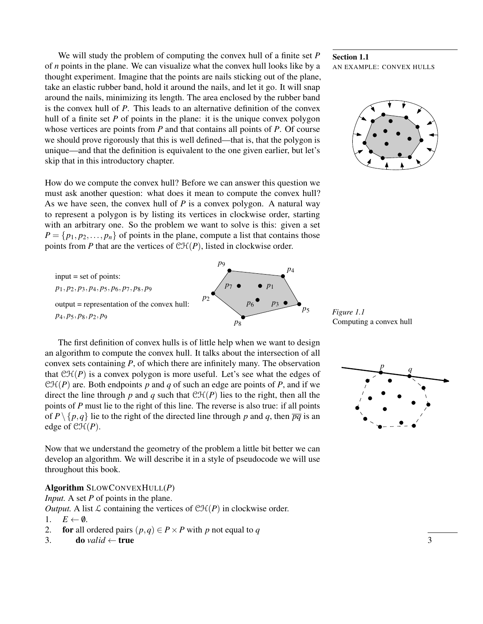We will study the problem of computing the convex hull of a finite set *P* of *n* points in the plane. We can visualize what the convex hull looks like by a thought experiment. Imagine that the points are nails sticking out of the plane, take an elastic rubber band, hold it around the nails, and let it go. It will snap around the nails, minimizing its length. The area enclosed by the rubber band is the convex hull of *P*. This leads to an alternative definition of the convex hull of a finite set *P* of points in the plane: it is the unique convex polygon whose vertices are points from *P* and that contains all points of *P*. Of course we should prove rigorously that this is well defined—that is, that the polygon is unique—and that the definition is equivalent to the one given earlier, but let's skip that in this introductory chapter.

How do we compute the convex hull? Before we can answer this question we must ask another question: what does it mean to compute the convex hull? As we have seen, the convex hull of *P* is a convex polygon. A natural way to represent a polygon is by listing its vertices in clockwise order, starting with an arbitrary one. So the problem we want to solve is this: given a set  $P = \{p_1, p_2, \ldots, p_n\}$  of points in the plane, compute a list that contains those points from *P* that are the vertices of  $\mathcal{CH}(P)$ , listed in clockwise order.

*p*1, *p*2, *p*3, *p*4, *p*5, *p*6, *p*7, *p*8, *p*<sup>9</sup> input = set of points: output = representation of the convex hull:  $p_4, p_5, p_8, p_2, p_9$  *Figure 1.1* 

The first definition of convex hulls is of little help when we want to design an algorithm to compute the convex hull. It talks about the intersection of all convex sets containing *P*, of which there are infinitely many. The observation that  $\mathcal{CH}(P)$  is a convex polygon is more useful. Let's see what the edges of  $\mathcal{CH}(P)$  are. Both endpoints p and q of such an edge are points of P, and if we direct the line through  $p$  and  $q$  such that  $\mathcal{CH}(P)$  lies to the right, then all the points of *P* must lie to the right of this line. The reverse is also true: if all points of  $P \setminus \{p,q\}$  lie to the right of the directed line through p and q, then  $\overline{pq}$  is an edge of  $\mathcal{CH}(P)$ .

Now that we understand the geometry of the problem a little bit better we can develop an algorithm. We will describe it in a style of pseudocode we will use throughout this book.

#### Algorithm SLOWCONVEXHULL(*P*)

*Input.* A set *P* of points in the plane.

*Output.* A list  $\mathcal L$  containing the vertices of  $\mathcal{CH}(P)$  in clockwise order.

- 1.  $E \leftarrow \emptyset$ .<br>2. **for** all of
- 2. **for** all ordered pairs  $(p,q) \in P \times P$  with *p* not equal to *q*<br>3. **do** valid  $\leftarrow$  **true**
- 3. do *valid* ← true  $\frac{3}{4}$

#### Section 1.1 AN EXAMPLE: CONVEX HULLS



Computing a convex hull



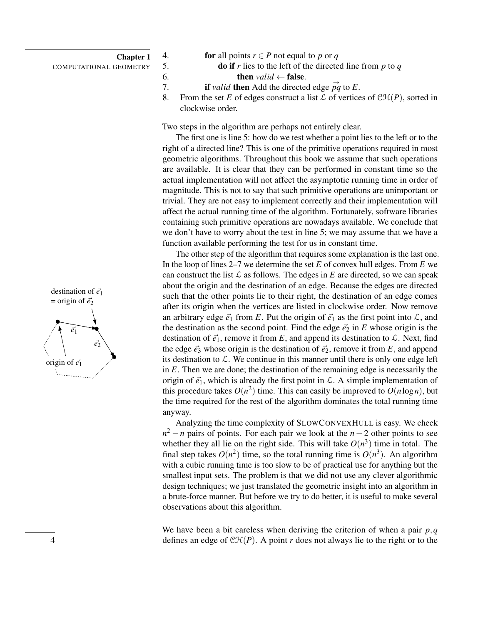#### Chapter 1

- COMPUTATIONAL GEOMETRY
- 4. **for** all points  $r \in P$  not equal to  $p$  or  $q$ <br>5. **do if**  $r$  lies to the left of the directe

```
5. do if r lies to the left of the directed line from p to q
```
- 6. **then** *valid* ← **false**.<br>7. **if** *valid* **then** Add the directe 7. **if** *valid* **then** Add the directed edge  $\vec{pq}$  to *E*.
- 8. From the set *E* of edges construct a list  $\mathcal L$  of vertices of  $\mathcal{CH}(P)$ , sorted in clockwise order.

Two steps in the algorithm are perhaps not entirely clear.

The first one is line 5: how do we test whether a point lies to the left or to the right of a directed line? This is one of the primitive operations required in most geometric algorithms. Throughout this book we assume that such operations are available. It is clear that they can be performed in constant time so the actual implementation will not affect the asymptotic running time in order of magnitude. This is not to say that such primitive operations are unimportant or trivial. They are not easy to implement correctly and their implementation will affect the actual running time of the algorithm. Fortunately, software libraries containing such primitive operations are nowadays available. We conclude that we don't have to worry about the test in line 5; we may assume that we have a function available performing the test for us in constant time.

The other step of the algorithm that requires some explanation is the last one. In the loop of lines 2–7 we determine the set *E* of convex hull edges. From *E* we can construct the list  $\mathcal L$  as follows. The edges in *E* are directed, so we can speak about the origin and the destination of an edge. Because the edges are directed such that the other points lie to their right, the destination of an edge comes after its origin when the vertices are listed in clockwise order. Now remove an arbitrary edge  $\vec{e_1}$  from *E*. Put the origin of  $\vec{e_1}$  as the first point into  $\mathcal{L}$ , and the destination as the second point. Find the edge  $\vec{e}_2$  in *E* whose origin is the destination of  $\vec{e_1}$ , remove it from  $E$ , and append its destination to  $\mathcal{L}$ . Next, find the edge  $\vec{e}_3$  whose origin is the destination of  $\vec{e}_2$ , remove it from *E*, and append its destination to  $\mathcal{L}$ . We continue in this manner until there is only one edge left in *E*. Then we are done; the destination of the remaining edge is necessarily the origin of  $\vec{e}_1$ , which is already the first point in  $\mathcal{L}$ . A simple implementation of this procedure takes  $O(n^2)$  time. This can easily be improved to  $O(n \log n)$ , but the time required for the rest of the algorithm dominates the total running time anyway.

Analyzing the time complexity of SLOWCONVEXHULL is easy. We check  $n^2 - n$  pairs of points. For each pair we look at the *n* − 2 other points to see whether they all lie on the right side. This will take  $O(n^3)$  time in total. The final step takes  $O(n^2)$  time, so the total running time is  $O(n^3)$ . An algorithm with a cubic running time is too slow to be of practical use for anything but the smallest input sets. The problem is that we did not use any clever algorithmic design techniques; we just translated the geometric insight into an algorithm in a brute-force manner. But before we try to do better, it is useful to make several observations about this algorithm.

We have been a bit careless when deriving the criterion of when a pair *p*,*q* 4 defines an edge of CH(*P*). A point *r* does not always lie to the right or to the